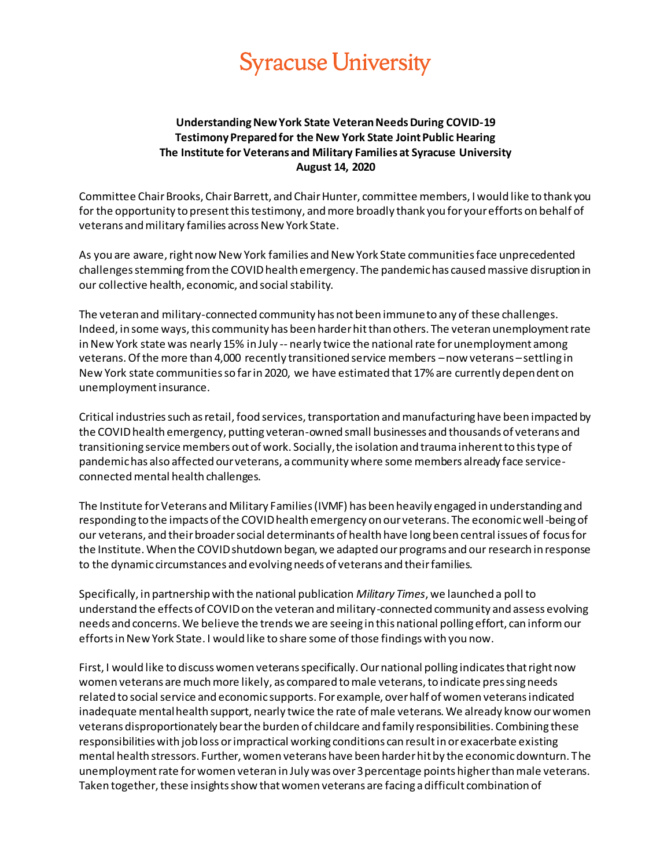## **Syracuse University**

## **Understanding New York State Veteran Needs During COVID-19 Testimony Prepared for the New York State Joint Public Hearing The Institute for Veterans and Military Families at Syracuse University August 14, 2020**

Committee Chair Brooks, Chair Barrett, and Chair Hunter, committee members, I would like to thank you for the opportunity to present this testimony, and more broadly thank you for your efforts on behalf of veterans and military families across New York State.

As you are aware, right now New York families and New York State communities face unprecedented challenges stemming from the COVID health emergency. The pandemic has caused massive disruption in our collective health, economic, and social stability.

The veteran and military-connected community has not been immune to any of these challenges. Indeed, in some ways, this community has been harder hit than others. The veteran unemployment rate in New York state was nearly 15% in July -- nearly twice the national rate for unemployment among veterans. Of the more than 4,000 recently transitioned service members –now veterans –settling in New York state communities so far in 2020, we have estimated that 17% are currently dependent on unemployment insurance.

Critical industries such as retail, food services, transportation and manufacturing have been impacted by the COVID health emergency, putting veteran-owned small businesses and thousands of veterans and transitioning service members out of work. Socially, the isolation and trauma inherent to this type of pandemic has also affected our veterans, a community where some members already face serviceconnected mental health challenges.

The Institute for Veterans and Military Families (IVMF) has been heavily engaged in understanding and responding to the impacts of the COVID health emergency on our veterans. The economic well-being of our veterans, and their broader social determinants of health have long been central issues of focus for the Institute. When the COVID shutdown began, we adapted our programs and our research in response to the dynamic circumstances and evolving needs of veterans and their families.

Specifically, in partnership with the national publication *Military Times*, we launched a poll to understand the effects of COVID on the veteran and military-connected community and assess evolving needs and concerns. We believe the trends we are seeing in this national polling effort, can inform our efforts in New York State. I would like to share some of those findings with you now.

First, I would like to discuss women veterans specifically. Our national polling indicates that right now women veterans are much more likely, as compared to male veterans, to indicate pressing needs related to social service and economic supports. For example, over half of women veterans indicated inadequate mental health support, nearly twice the rate of male veterans. We already know our women veterans disproportionately bear the burden of childcare and family responsibilities. Combining these responsibilities with job loss or impractical working conditions can result in or exacerbate existing mental health stressors. Further, women veterans have been harder hit by the economic downturn. The unemployment rate for women veteran in July was over 3 percentage points higher than male veterans. Taken together, these insights show that women veterans are facing a difficult combination of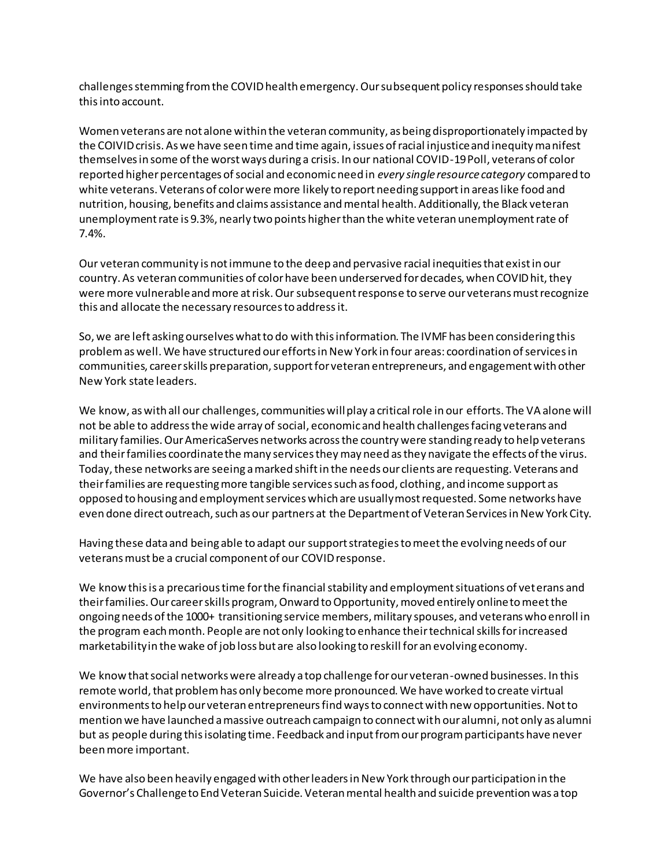challenges stemming from the COVID health emergency. Our subsequent policy responses should take this into account.

Women veterans are not alone within the veteran community, as being disproportionately impacted by the COIVID crisis. As we have seen time and time again, issues of racial injustice and inequity manifest themselves in some of the worst ways during a crisis. In our national COVID-19 Poll, veterans of color reported higher percentages of social and economic need in *every single resource category* compared to white veterans. Veterans of color were more likely to report needing support in areas like food and nutrition, housing, benefits and claims assistance and mental health. Additionally, the Black veteran unemployment rate is 9.3%, nearly two points higher than the white veteran unemployment rate of 7.4%.

Our veteran community is not immune to the deep and pervasive racial inequities that exist in our country. As veteran communities of color have been underserved for decades, when COVID hit, they were more vulnerable and more at risk. Our subsequent response to serve our veterans must recognize this and allocate the necessary resources to address it.

So, we are left asking ourselves what to do with this information. The IVMF has been considering this problem as well. We have structured our efforts in New York in four areas: coordination of services in communities, career skills preparation, support for veteran entrepreneurs, and engagement with other New York state leaders.

We know, as with all our challenges, communities will play a critical role in our efforts. The VA alone will not be able to address the wide array of social, economic and health challenges facing veterans and military families. Our AmericaServes networks across the country were standing ready to help veterans and their families coordinate the many services they may need as they navigate the effects of the virus. Today, these networks are seeing a marked shift in the needs our clients are requesting. Veterans and their families are requesting more tangible services such as food, clothing, and income support as opposed to housing and employment services which are usually most requested. Some networks have even done direct outreach, such as our partners at the Department of Veteran Services in New York City.

Having these data and being able to adapt our support strategies to meet the evolving needs of our veterans must be a crucial component of our COVID response.

We know this is a precarious time for the financial stability and employment situations of veterans and their families. Our career skills program, Onward to Opportunity, moved entirely online to meet the ongoing needs of the 1000+ transitioning service members, military spouses, and veterans who enroll in the program each month. People are not only looking to enhance their technical skills for increased marketability in the wake of job loss but are also looking to reskill for an evolving economy.

We know that social networks were already a top challenge for our veteran-owned businesses. In this remote world, that problem has only become more pronounced. We have worked to create virtual environments to help our veteran entrepreneurs find ways to connect with new opportunities. Not to mention we have launched a massive outreach campaign to connect with our alumni, not only as alumni but as people during this isolating time. Feedback and input from our program participants have never been more important.

We have also been heavily engaged with other leaders in New York through our participation in the Governor's Challenge to End Veteran Suicide. Veteran mental health and suicide prevention was a top